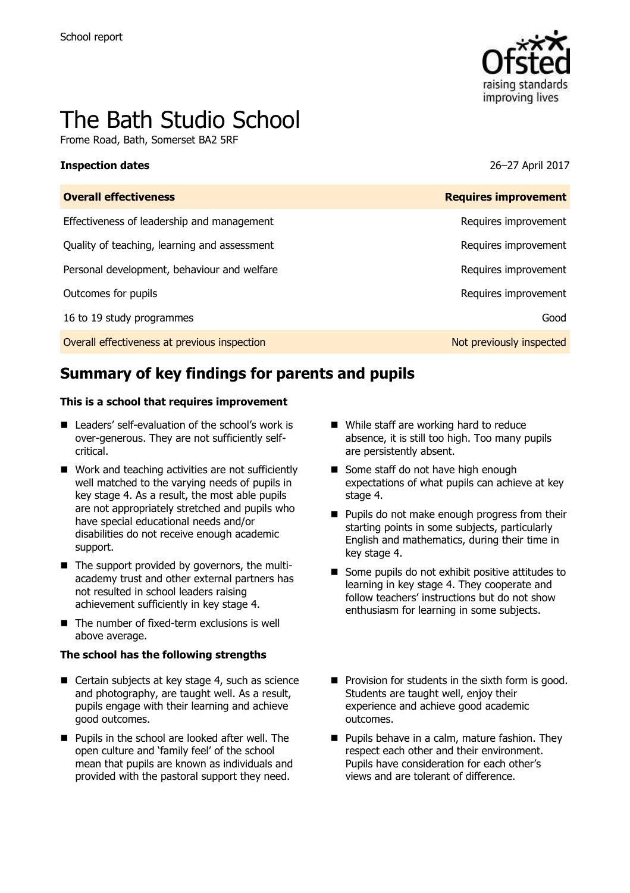

# The Bath Studio School

Frome Road, Bath, Somerset BA2 5RF

### **Inspection dates** 26–27 April 2017

| <b>Overall effectiveness</b>                 | <b>Requires improvement</b> |
|----------------------------------------------|-----------------------------|
| Effectiveness of leadership and management   | Requires improvement        |
| Quality of teaching, learning and assessment | Requires improvement        |
| Personal development, behaviour and welfare  | Requires improvement        |
| Outcomes for pupils                          | Requires improvement        |
| 16 to 19 study programmes                    | Good                        |
| Overall effectiveness at previous inspection | Not previously inspected    |

# **Summary of key findings for parents and pupils**

### **This is a school that requires improvement**

- Leaders' self-evaluation of the school's work is over-generous. They are not sufficiently selfcritical.
- Work and teaching activities are not sufficiently well matched to the varying needs of pupils in key stage 4. As a result, the most able pupils are not appropriately stretched and pupils who have special educational needs and/or disabilities do not receive enough academic support.
- The support provided by governors, the multiacademy trust and other external partners has not resulted in school leaders raising achievement sufficiently in key stage 4.
- $\blacksquare$  The number of fixed-term exclusions is well above average.

### **The school has the following strengths**

- Certain subjects at key stage 4, such as science and photography, are taught well. As a result, pupils engage with their learning and achieve good outcomes.
- **Pupils in the school are looked after well. The** open culture and 'family feel' of the school mean that pupils are known as individuals and provided with the pastoral support they need.
- While staff are working hard to reduce absence, it is still too high. Too many pupils are persistently absent.
- Some staff do not have high enough expectations of what pupils can achieve at key stage 4.
- **Pupils do not make enough progress from their** starting points in some subjects, particularly English and mathematics, during their time in key stage 4.
- Some pupils do not exhibit positive attitudes to learning in key stage 4. They cooperate and follow teachers' instructions but do not show enthusiasm for learning in some subjects.
- $\blacksquare$  Provision for students in the sixth form is good. Students are taught well, enjoy their experience and achieve good academic outcomes.
- **Pupils behave in a calm, mature fashion. They** respect each other and their environment. Pupils have consideration for each other's views and are tolerant of difference.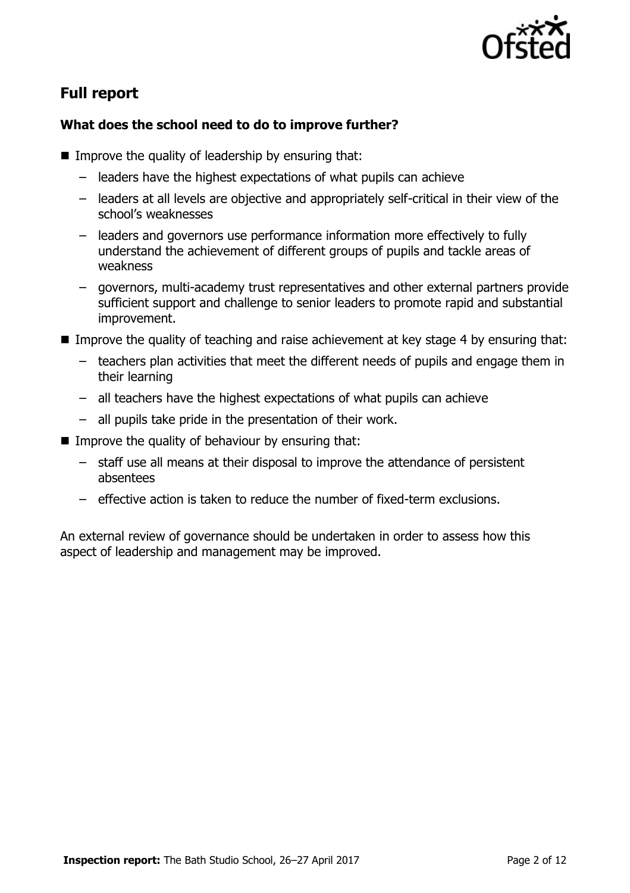

# **Full report**

### **What does the school need to do to improve further?**

- $\blacksquare$  Improve the quality of leadership by ensuring that:
	- leaders have the highest expectations of what pupils can achieve
	- leaders at all levels are objective and appropriately self-critical in their view of the school's weaknesses
	- leaders and governors use performance information more effectively to fully understand the achievement of different groups of pupils and tackle areas of weakness
	- governors, multi-academy trust representatives and other external partners provide sufficient support and challenge to senior leaders to promote rapid and substantial improvement.
- **IMPROVE the quality of teaching and raise achievement at key stage 4 by ensuring that:** 
	- teachers plan activities that meet the different needs of pupils and engage them in their learning
	- all teachers have the highest expectations of what pupils can achieve
	- all pupils take pride in the presentation of their work.
- Improve the quality of behaviour by ensuring that:
	- staff use all means at their disposal to improve the attendance of persistent absentees
	- effective action is taken to reduce the number of fixed-term exclusions.

An external review of governance should be undertaken in order to assess how this aspect of leadership and management may be improved.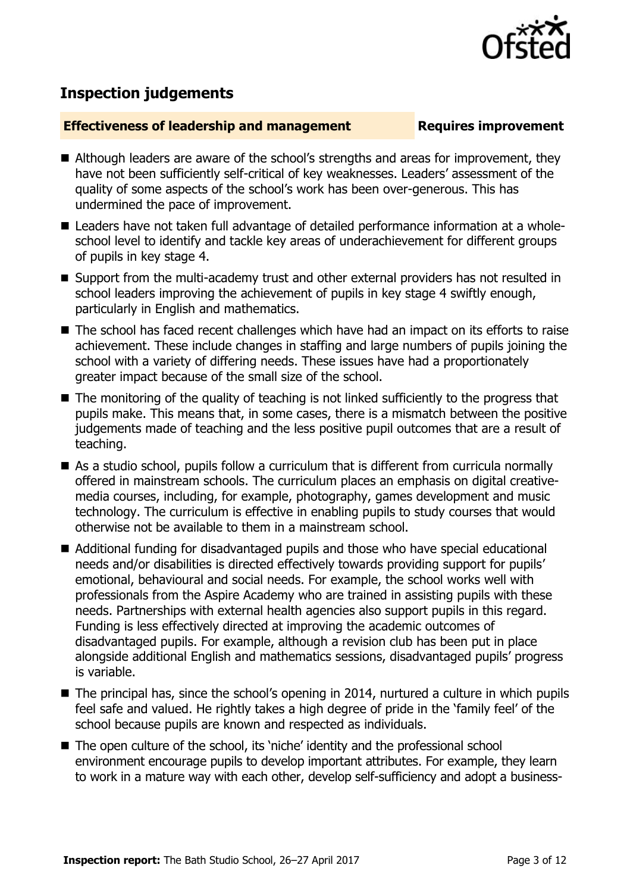

## **Inspection judgements**

### **Effectiveness of leadership and management Requires improvement**

- Although leaders are aware of the school's strengths and areas for improvement, they have not been sufficiently self-critical of key weaknesses. Leaders' assessment of the quality of some aspects of the school's work has been over-generous. This has undermined the pace of improvement.
- Leaders have not taken full advantage of detailed performance information at a wholeschool level to identify and tackle key areas of underachievement for different groups of pupils in key stage 4.
- Support from the multi-academy trust and other external providers has not resulted in school leaders improving the achievement of pupils in key stage 4 swiftly enough, particularly in English and mathematics.
- The school has faced recent challenges which have had an impact on its efforts to raise achievement. These include changes in staffing and large numbers of pupils joining the school with a variety of differing needs. These issues have had a proportionately greater impact because of the small size of the school.
- The monitoring of the quality of teaching is not linked sufficiently to the progress that pupils make. This means that, in some cases, there is a mismatch between the positive judgements made of teaching and the less positive pupil outcomes that are a result of teaching.
- As a studio school, pupils follow a curriculum that is different from curricula normally offered in mainstream schools. The curriculum places an emphasis on digital creativemedia courses, including, for example, photography, games development and music technology. The curriculum is effective in enabling pupils to study courses that would otherwise not be available to them in a mainstream school.
- Additional funding for disadvantaged pupils and those who have special educational needs and/or disabilities is directed effectively towards providing support for pupils' emotional, behavioural and social needs. For example, the school works well with professionals from the Aspire Academy who are trained in assisting pupils with these needs. Partnerships with external health agencies also support pupils in this regard. Funding is less effectively directed at improving the academic outcomes of disadvantaged pupils. For example, although a revision club has been put in place alongside additional English and mathematics sessions, disadvantaged pupils' progress is variable.
- The principal has, since the school's opening in 2014, nurtured a culture in which pupils feel safe and valued. He rightly takes a high degree of pride in the 'family feel' of the school because pupils are known and respected as individuals.
- The open culture of the school, its 'niche' identity and the professional school environment encourage pupils to develop important attributes. For example, they learn to work in a mature way with each other, develop self-sufficiency and adopt a business-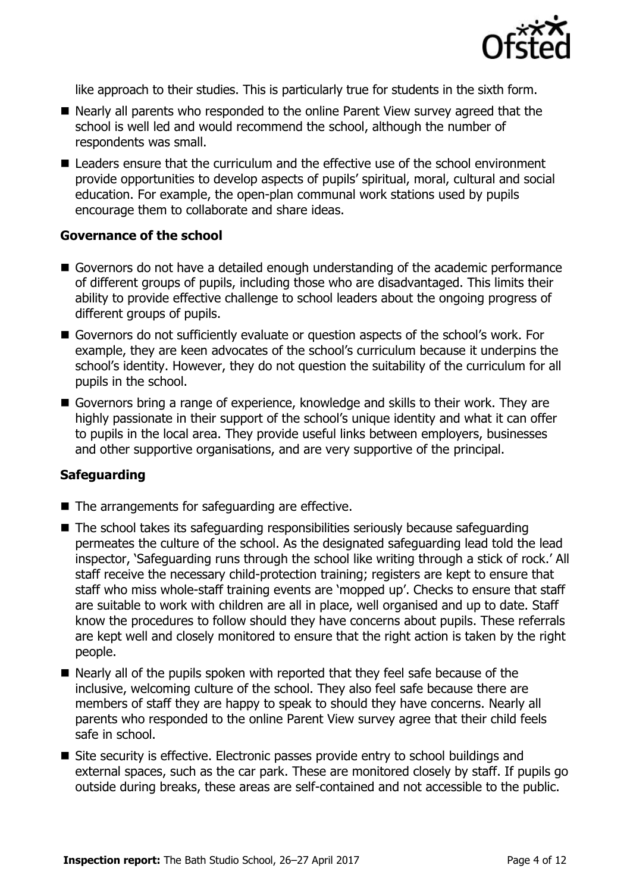

like approach to their studies. This is particularly true for students in the sixth form.

- Nearly all parents who responded to the online Parent View survey agreed that the school is well led and would recommend the school, although the number of respondents was small.
- Leaders ensure that the curriculum and the effective use of the school environment provide opportunities to develop aspects of pupils' spiritual, moral, cultural and social education. For example, the open-plan communal work stations used by pupils encourage them to collaborate and share ideas.

### **Governance of the school**

- Governors do not have a detailed enough understanding of the academic performance of different groups of pupils, including those who are disadvantaged. This limits their ability to provide effective challenge to school leaders about the ongoing progress of different groups of pupils.
- Governors do not sufficiently evaluate or question aspects of the school's work. For example, they are keen advocates of the school's curriculum because it underpins the school's identity. However, they do not question the suitability of the curriculum for all pupils in the school.
- Governors bring a range of experience, knowledge and skills to their work. They are highly passionate in their support of the school's unique identity and what it can offer to pupils in the local area. They provide useful links between employers, businesses and other supportive organisations, and are very supportive of the principal.

### **Safeguarding**

- $\blacksquare$  The arrangements for safeguarding are effective.
- The school takes its safeguarding responsibilities seriously because safeguarding permeates the culture of the school. As the designated safeguarding lead told the lead inspector, 'Safeguarding runs through the school like writing through a stick of rock.' All staff receive the necessary child-protection training; registers are kept to ensure that staff who miss whole-staff training events are 'mopped up'. Checks to ensure that staff are suitable to work with children are all in place, well organised and up to date. Staff know the procedures to follow should they have concerns about pupils. These referrals are kept well and closely monitored to ensure that the right action is taken by the right people.
- Nearly all of the pupils spoken with reported that they feel safe because of the inclusive, welcoming culture of the school. They also feel safe because there are members of staff they are happy to speak to should they have concerns. Nearly all parents who responded to the online Parent View survey agree that their child feels safe in school.
- Site security is effective. Electronic passes provide entry to school buildings and external spaces, such as the car park. These are monitored closely by staff. If pupils go outside during breaks, these areas are self-contained and not accessible to the public.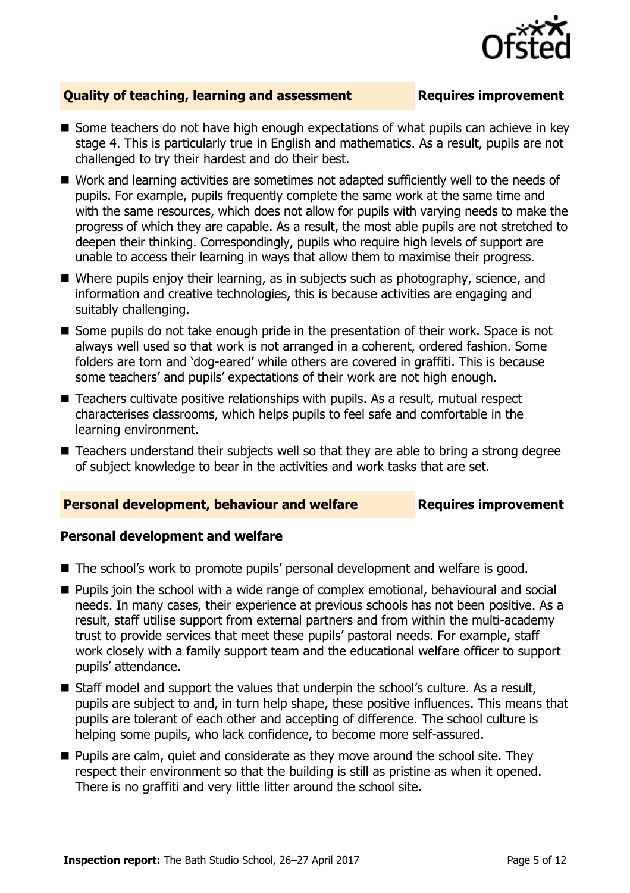

### **Quality of teaching, learning and assessment Requires improvement**

- Some teachers do not have high enough expectations of what pupils can achieve in key stage 4. This is particularly true in English and mathematics. As a result, pupils are not challenged to try their hardest and do their best.
- Work and learning activities are sometimes not adapted sufficiently well to the needs of pupils. For example, pupils frequently complete the same work at the same time and with the same resources, which does not allow for pupils with varying needs to make the progress of which they are capable. As a result, the most able pupils are not stretched to deepen their thinking. Correspondingly, pupils who require high levels of support are unable to access their learning in ways that allow them to maximise their progress.
- Where pupils enjoy their learning, as in subjects such as photography, science, and information and creative technologies, this is because activities are engaging and suitably challenging.
- Some pupils do not take enough pride in the presentation of their work. Space is not always well used so that work is not arranged in a coherent, ordered fashion. Some folders are torn and 'dog-eared' while others are covered in graffiti. This is because some teachers' and pupils' expectations of their work are not high enough.
- Teachers cultivate positive relationships with pupils. As a result, mutual respect characterises classrooms, which helps pupils to feel safe and comfortable in the learning environment.
- Teachers understand their subjects well so that they are able to bring a strong degree of subject knowledge to bear in the activities and work tasks that are set.

### **Personal development, behaviour and welfare Fig. 2.1 Requires improvement**

### **Personal development and welfare**

- The school's work to promote pupils' personal development and welfare is good.
- **Pupils join the school with a wide range of complex emotional, behavioural and social** needs. In many cases, their experience at previous schools has not been positive. As a result, staff utilise support from external partners and from within the multi-academy trust to provide services that meet these pupils' pastoral needs. For example, staff work closely with a family support team and the educational welfare officer to support pupils' attendance.
- Staff model and support the values that underpin the school's culture. As a result, pupils are subject to and, in turn help shape, these positive influences. This means that pupils are tolerant of each other and accepting of difference. The school culture is helping some pupils, who lack confidence, to become more self-assured.
- **Pupils are calm, quiet and considerate as they move around the school site. They** respect their environment so that the building is still as pristine as when it opened. There is no graffiti and very little litter around the school site.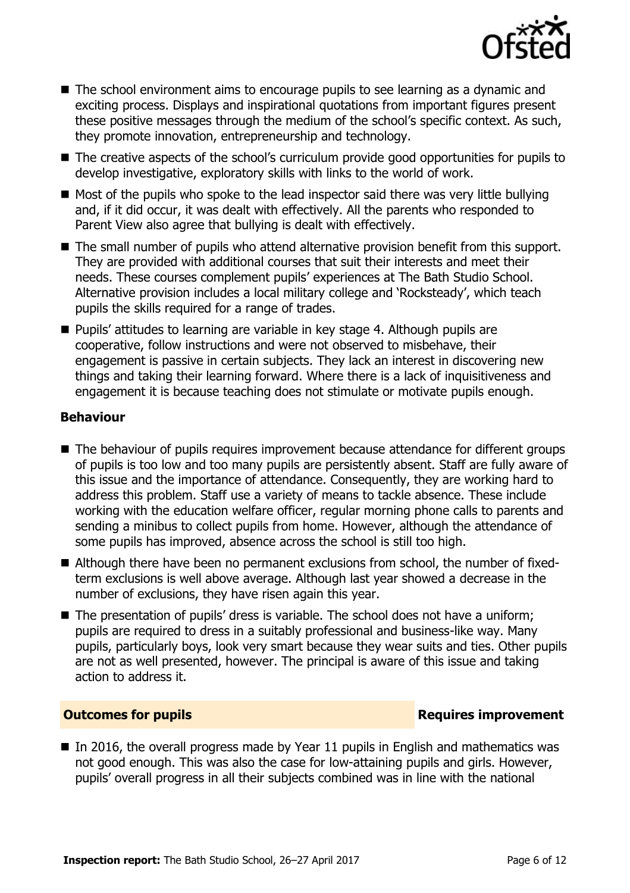

- The school environment aims to encourage pupils to see learning as a dynamic and exciting process. Displays and inspirational quotations from important figures present these positive messages through the medium of the school's specific context. As such, they promote innovation, entrepreneurship and technology.
- The creative aspects of the school's curriculum provide good opportunities for pupils to develop investigative, exploratory skills with links to the world of work.
- $\blacksquare$  Most of the pupils who spoke to the lead inspector said there was very little bullying and, if it did occur, it was dealt with effectively. All the parents who responded to Parent View also agree that bullying is dealt with effectively.
- The small number of pupils who attend alternative provision benefit from this support. They are provided with additional courses that suit their interests and meet their needs. These courses complement pupils' experiences at The Bath Studio School. Alternative provision includes a local military college and 'Rocksteady', which teach pupils the skills required for a range of trades.
- **Pupils' attitudes to learning are variable in key stage 4. Although pupils are** cooperative, follow instructions and were not observed to misbehave, their engagement is passive in certain subjects. They lack an interest in discovering new things and taking their learning forward. Where there is a lack of inquisitiveness and engagement it is because teaching does not stimulate or motivate pupils enough.

### **Behaviour**

- The behaviour of pupils requires improvement because attendance for different groups of pupils is too low and too many pupils are persistently absent. Staff are fully aware of this issue and the importance of attendance. Consequently, they are working hard to address this problem. Staff use a variety of means to tackle absence. These include working with the education welfare officer, regular morning phone calls to parents and sending a minibus to collect pupils from home. However, although the attendance of some pupils has improved, absence across the school is still too high.
- Although there have been no permanent exclusions from school, the number of fixedterm exclusions is well above average. Although last year showed a decrease in the number of exclusions, they have risen again this year.
- The presentation of pupils' dress is variable. The school does not have a uniform; pupils are required to dress in a suitably professional and business-like way. Many pupils, particularly boys, look very smart because they wear suits and ties. Other pupils are not as well presented, however. The principal is aware of this issue and taking action to address it.

### **Outcomes for pupils Requires improvement**

In 2016, the overall progress made by Year 11 pupils in English and mathematics was not good enough. This was also the case for low-attaining pupils and girls. However, pupils' overall progress in all their subjects combined was in line with the national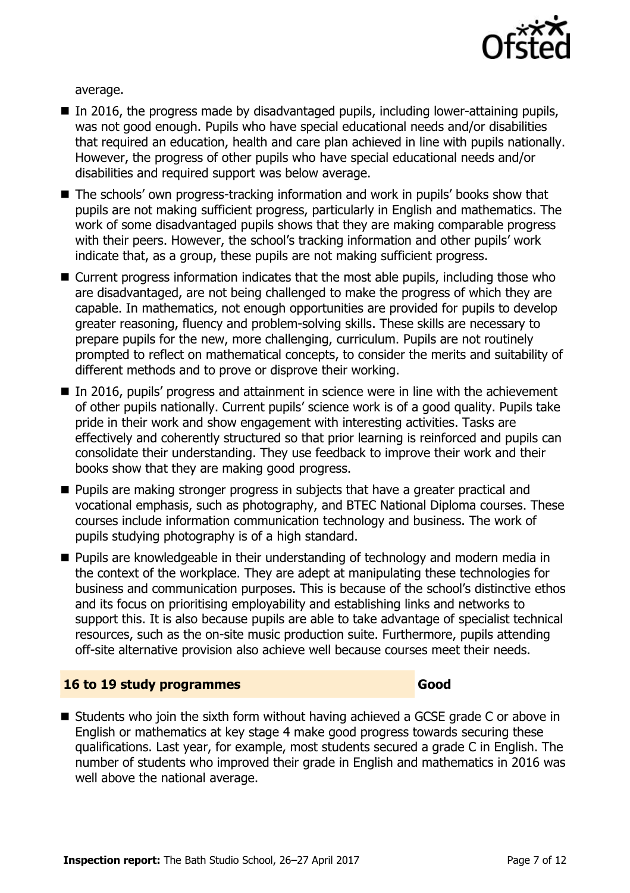

average.

- $\blacksquare$  In 2016, the progress made by disadvantaged pupils, including lower-attaining pupils, was not good enough. Pupils who have special educational needs and/or disabilities that required an education, health and care plan achieved in line with pupils nationally. However, the progress of other pupils who have special educational needs and/or disabilities and required support was below average.
- The schools' own progress-tracking information and work in pupils' books show that pupils are not making sufficient progress, particularly in English and mathematics. The work of some disadvantaged pupils shows that they are making comparable progress with their peers. However, the school's tracking information and other pupils' work indicate that, as a group, these pupils are not making sufficient progress.
- Current progress information indicates that the most able pupils, including those who are disadvantaged, are not being challenged to make the progress of which they are capable. In mathematics, not enough opportunities are provided for pupils to develop greater reasoning, fluency and problem-solving skills. These skills are necessary to prepare pupils for the new, more challenging, curriculum. Pupils are not routinely prompted to reflect on mathematical concepts, to consider the merits and suitability of different methods and to prove or disprove their working.
- In 2016, pupils' progress and attainment in science were in line with the achievement of other pupils nationally. Current pupils' science work is of a good quality. Pupils take pride in their work and show engagement with interesting activities. Tasks are effectively and coherently structured so that prior learning is reinforced and pupils can consolidate their understanding. They use feedback to improve their work and their books show that they are making good progress.
- **Pupils are making stronger progress in subjects that have a greater practical and** vocational emphasis, such as photography, and BTEC National Diploma courses. These courses include information communication technology and business. The work of pupils studying photography is of a high standard.
- **Pupils are knowledgeable in their understanding of technology and modern media in** the context of the workplace. They are adept at manipulating these technologies for business and communication purposes. This is because of the school's distinctive ethos and its focus on prioritising employability and establishing links and networks to support this. It is also because pupils are able to take advantage of specialist technical resources, such as the on-site music production suite. Furthermore, pupils attending off-site alternative provision also achieve well because courses meet their needs.

### **16 to 19 study programmes Good**

■ Students who join the sixth form without having achieved a GCSE grade C or above in English or mathematics at key stage 4 make good progress towards securing these qualifications. Last year, for example, most students secured a grade C in English. The number of students who improved their grade in English and mathematics in 2016 was well above the national average.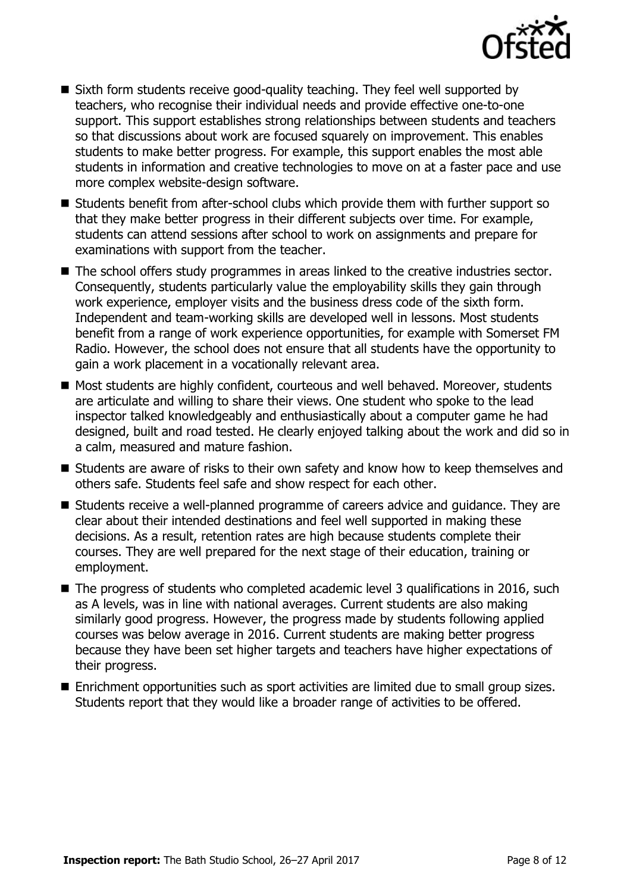

- Sixth form students receive good-quality teaching. They feel well supported by teachers, who recognise their individual needs and provide effective one-to-one support. This support establishes strong relationships between students and teachers so that discussions about work are focused squarely on improvement. This enables students to make better progress. For example, this support enables the most able students in information and creative technologies to move on at a faster pace and use more complex website-design software.
- Students benefit from after-school clubs which provide them with further support so that they make better progress in their different subjects over time. For example, students can attend sessions after school to work on assignments and prepare for examinations with support from the teacher.
- The school offers study programmes in areas linked to the creative industries sector. Consequently, students particularly value the employability skills they gain through work experience, employer visits and the business dress code of the sixth form. Independent and team-working skills are developed well in lessons. Most students benefit from a range of work experience opportunities, for example with Somerset FM Radio. However, the school does not ensure that all students have the opportunity to gain a work placement in a vocationally relevant area.
- Most students are highly confident, courteous and well behaved. Moreover, students are articulate and willing to share their views. One student who spoke to the lead inspector talked knowledgeably and enthusiastically about a computer game he had designed, built and road tested. He clearly enjoyed talking about the work and did so in a calm, measured and mature fashion.
- Students are aware of risks to their own safety and know how to keep themselves and others safe. Students feel safe and show respect for each other.
- Students receive a well-planned programme of careers advice and guidance. They are clear about their intended destinations and feel well supported in making these decisions. As a result, retention rates are high because students complete their courses. They are well prepared for the next stage of their education, training or employment.
- The progress of students who completed academic level 3 qualifications in 2016, such as A levels, was in line with national averages. Current students are also making similarly good progress. However, the progress made by students following applied courses was below average in 2016. Current students are making better progress because they have been set higher targets and teachers have higher expectations of their progress.
- Enrichment opportunities such as sport activities are limited due to small group sizes. Students report that they would like a broader range of activities to be offered.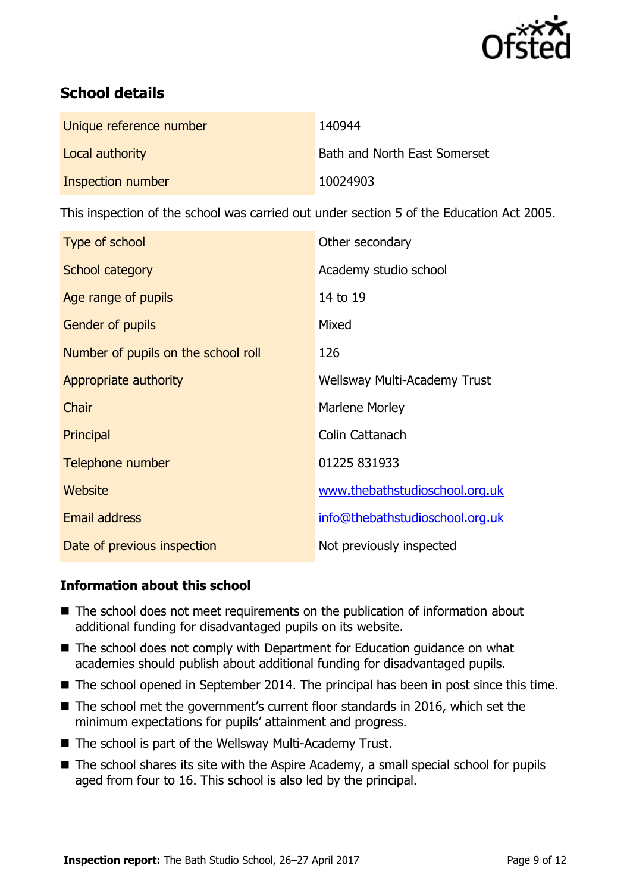

# **School details**

| Unique reference number | 140944                       |
|-------------------------|------------------------------|
| Local authority         | Bath and North East Somerset |
| Inspection number       | 10024903                     |

This inspection of the school was carried out under section 5 of the Education Act 2005.

| Type of school                      | Other secondary                 |
|-------------------------------------|---------------------------------|
| School category                     | Academy studio school           |
| Age range of pupils                 | 14 to 19                        |
| <b>Gender of pupils</b>             | Mixed                           |
| Number of pupils on the school roll | 126                             |
| Appropriate authority               | Wellsway Multi-Academy Trust    |
| Chair                               | Marlene Morley                  |
| Principal                           | Colin Cattanach                 |
| Telephone number                    | 01225 831933                    |
| Website                             | www.thebathstudioschool.org.uk  |
| <b>Email address</b>                | info@thebathstudioschool.org.uk |
| Date of previous inspection         | Not previously inspected        |

### **Information about this school**

- The school does not meet requirements on the publication of information about additional funding for disadvantaged pupils on its website.
- The school does not comply with Department for Education guidance on what academies should publish about additional funding for disadvantaged pupils.
- The school opened in September 2014. The principal has been in post since this time.
- The school met the government's current floor standards in 2016, which set the minimum expectations for pupils' attainment and progress.
- The school is part of the Wellsway Multi-Academy Trust.
- The school shares its site with the Aspire Academy, a small special school for pupils aged from four to 16. This school is also led by the principal.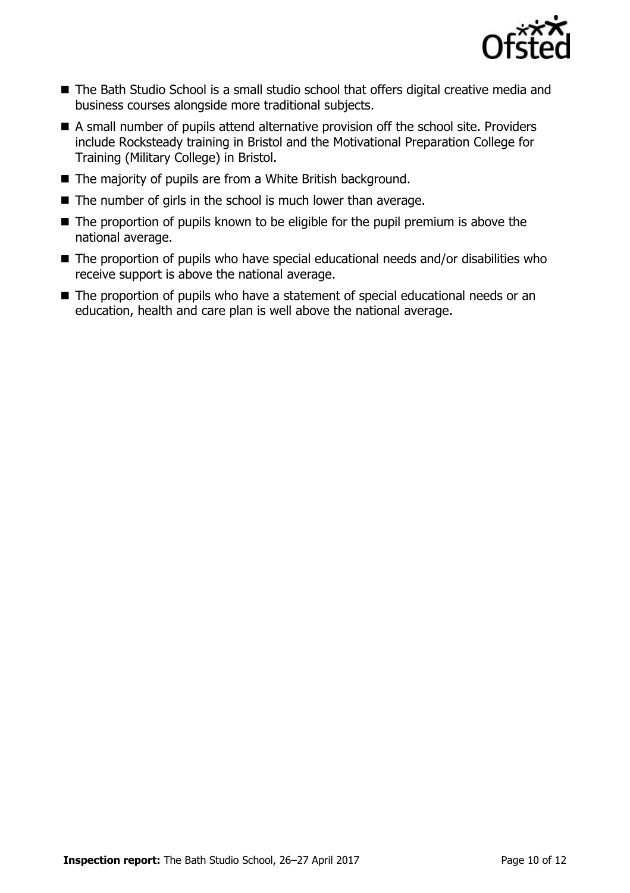

- The Bath Studio School is a small studio school that offers digital creative media and business courses alongside more traditional subjects.
- A small number of pupils attend alternative provision off the school site. Providers include Rocksteady training in Bristol and the Motivational Preparation College for Training (Military College) in Bristol.
- The majority of pupils are from a White British background.
- $\blacksquare$  The number of girls in the school is much lower than average.
- $\blacksquare$  The proportion of pupils known to be eligible for the pupil premium is above the national average.
- The proportion of pupils who have special educational needs and/or disabilities who receive support is above the national average.
- The proportion of pupils who have a statement of special educational needs or an education, health and care plan is well above the national average.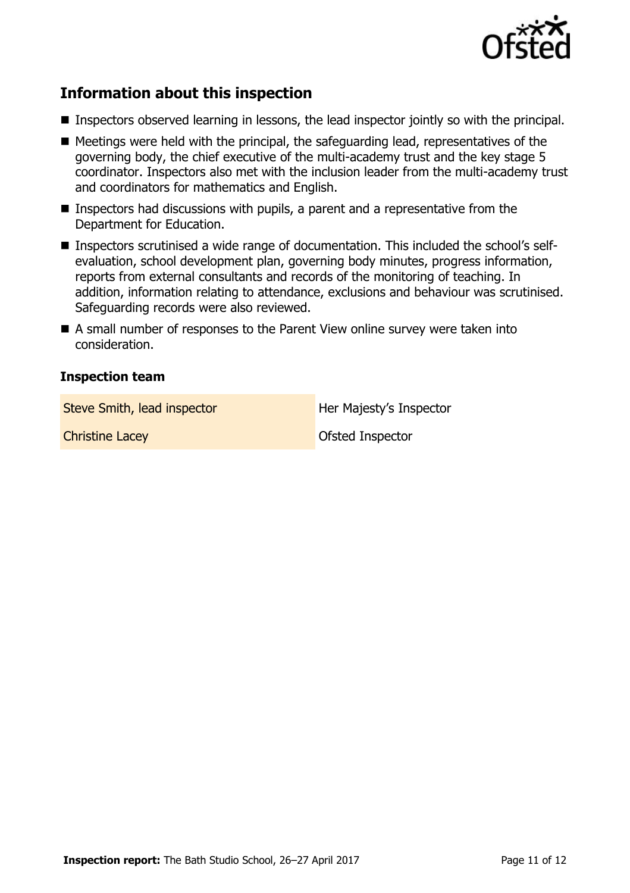

# **Information about this inspection**

- Inspectors observed learning in lessons, the lead inspector jointly so with the principal.
- $\blacksquare$  Meetings were held with the principal, the safeguarding lead, representatives of the governing body, the chief executive of the multi-academy trust and the key stage 5 coordinator. Inspectors also met with the inclusion leader from the multi-academy trust and coordinators for mathematics and English.
- Inspectors had discussions with pupils, a parent and a representative from the Department for Education.
- Inspectors scrutinised a wide range of documentation. This included the school's selfevaluation, school development plan, governing body minutes, progress information, reports from external consultants and records of the monitoring of teaching. In addition, information relating to attendance, exclusions and behaviour was scrutinised. Safeguarding records were also reviewed.
- A small number of responses to the Parent View online survey were taken into consideration.

### **Inspection team**

Steve Smith, lead inspector **Her Majesty's Inspector** 

**Christine Lacey Christine Lacey Ofsted Inspector**